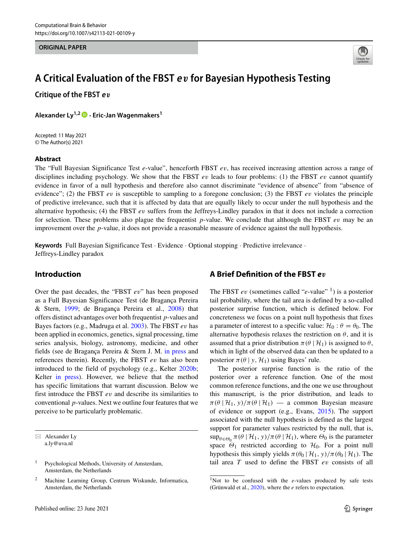**ORIGINAL PAPER**



# **A Critical Evaluation of the FBST <sup>e</sup>***v* **for Bayesian Hypothesis Testing**

**Critique of the FBST <sup>e</sup>***v*

**Alexander Ly1,2 · Eric-Jan Wagenmakers1**

Accepted: 11 May 2021 © The Author(s) 2021

#### **Abstract**

The "Full Bayesian Significance Test *e*-value", henceforth FBST *ev*, has received increasing attention across a range of disciplines including psychology. We show that the FBST *ev* leads to four problems: (1) the FBST *ev* cannot quantify evidence in favor of a null hypothesis and therefore also cannot discriminate "evidence of absence" from "absence of evidence"; (2) the FBST *ev* is susceptible to sampling to a foregone conclusion; (3) the FBST *ev* violates the principle of predictive irrelevance, such that it is affected by data that are equally likely to occur under the null hypothesis and the alternative hypothesis; (4) the FBST *ev* suffers from the Jeffreys-Lindley paradox in that it does not include a correction for selection. These problems also plague the frequentist *p*-value. We conclude that although the FBST *ev* may be an improvement over the *p*-value, it does not provide a reasonable measure of evidence against the null hypothesis.

**Keywords** Full Bayesian Significance Test · Evidence · Optional stopping · Predictive irrelevance · Jeffreys-Lindley paradox

#### **Introduction**

Over the past decades, the "FBST *ev*" has been proposed as a Full Bayesian Significance Test (de Bragança Pereira & Stern, [1999;](#page-6-0) de Bragança Pereira et al., [2008\)](#page-6-1) that offers distinct advantages over both frequentist *p*-values and Bayes factors (e.g., Madruga et al. [2003\)](#page-7-0). The FBST *ev* has been applied in economics, genetics, signal processing, time series analysis, biology, astronomy, medicine, and other fields (see de Bragança Pereira & Stern J. M. [in press](#page-6-2) and references therein). Recently, the FBST *ev* has also been introduced to the field of psychology (e.g., Kelter [2020b;](#page-7-1) Kelter [in press\)](#page-7-2). However, we believe that the method has specific limitations that warrant discussion. Below we first introduce the FBST *ev* and describe its similarities to conventional *p*-values. Next we outline four features that we perceive to be particularly problematic.

# **A Brief Definition of the FBST** *ev*

The FBST *ev* (sometimes called "*e*-value" <sup>1</sup>) is a posterior tail probability, where the tail area is defined by a so-called posterior surprise function, which is defined below. For concreteness we focus on a point null hypothesis that fixes a parameter of interest to a specific value:  $\mathcal{H}_0$  :  $\theta = \theta_0$ . The alternative hypothesis relaxes the restriction on  $\theta$ , and it is assumed that a prior distribution  $\pi(\theta | \mathcal{H}_1)$  is assigned to  $\theta$ , which in light of the observed data can then be updated to a posterior  $\pi(\theta | y, \mathcal{H}_1)$  using Bayes' rule.

The posterior surprise function is the ratio of the posterior over a reference function. One of the most common reference functions, and the one we use throughout this manuscript, is the prior distribution, and leads to  $\pi(\theta | \mathcal{H}_1, y)/\pi(\theta | \mathcal{H}_1)$  — a common Bayesian measure of evidence or support (e.g., Evans, [2015\)](#page-6-3). The support associated with the null hypothesis is defined as the largest support for parameter values restricted by the null, that is,  $\sup_{\theta \in \Theta_0} \pi(\theta | \mathcal{H}_1, y) / \pi(\theta | \mathcal{H}_1)$ , where  $\Theta_0$  is the parameter space  $\Theta_1$  restricted according to  $\mathcal{H}_0$ . For a point null hypothesis this simply yields  $\pi(\theta_0 | \mathcal{H}_1, y)/\pi(\theta_0 | \mathcal{H}_1)$ . The tail area *T* used to define the FBST *ev* consists of all

<sup>⊠</sup> Alexander Ly [a.ly@uva.nl](mailto: a.ly@uva.nl)

<sup>&</sup>lt;sup>1</sup> Psychological Methods, University of Amsterdam, Amsterdam, the Netherlands

<sup>2</sup> Machine Learning Group, Centrum Wiskunde, Informatica, Amsterdam, the Netherlands

<span id="page-0-0"></span><sup>&</sup>lt;sup>1</sup>Not to be confused with the *e*-values produced by safe tests (Grünwald et al.,  $2020$ ), where the  $e$  refers to expectation.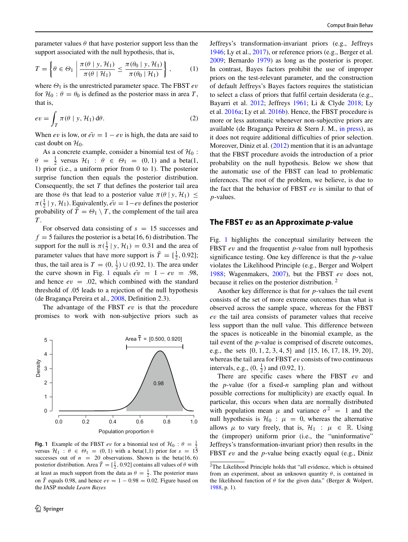parameter values  $\theta$  that have posterior support less than the support associated with the null hypothesis, that is,

$$
T = \left\{ \theta \in \Theta_1 \; \left| \; \frac{\pi(\theta \mid y, \mathcal{H}_1)}{\pi(\theta \mid \mathcal{H}_1)} \leq \frac{\pi(\theta_0 \mid y, \mathcal{H}_1)}{\pi(\theta_0 \mid \mathcal{H}_1)} \right. \right\},\tag{1}
$$

where *Θ*<sup>1</sup> is the unrestricted parameter space. The FBST *ev* for  $\mathcal{H}_0$ :  $\theta = \theta_0$  is defined as the posterior mass in area *T*, that is,

$$
ev = \int_{T} \pi(\theta \mid y, \mathcal{H}_{1}) d\theta.
$$
 (2)

When *ev* is low, or  $e^v = 1 - ev$  is high, the data are said to cast doubt on  $\mathcal{H}_0$ .

As a concrete example, consider a binomial test of  $\mathcal{H}_0$  :  $\theta = \frac{1}{2}$  versus  $\mathcal{H}_1$  :  $\theta \in \Theta_1 = (0, 1)$  and a beta(1, 1) prior (i.e., a uniform prior from 0 to 1). The posterior surprise function then equals the posterior distribution. Consequently, the set *T* that defines the posterior tail area are those  $\theta$ s that lead to a posterior value  $\pi(\theta | y, \mathcal{H}_1) \leq$  $\pi(\frac{1}{2} | y, \mathcal{H}_1)$ . Equivalently,  $e^{\overline{v}} = 1 - ev$  defines the posterior probability of  $\overline{T} = \Theta_1 \setminus T$ , the complement of the tail area *T* .

For observed data consisting of  $s = 15$  successes and  $f = 5$  failures the posterior is a beta(16, 6) distribution. The support for the null is  $\pi(\frac{1}{2} | y, \mathcal{H}_1) = 0.31$  and the area of parameter values that have more support is  $\bar{T} = [\frac{1}{2}, 0.92]$ ; thus, the tail area is  $T = (0, \frac{1}{2}) \cup (0.92, 1)$ . The area under the curve shown in Fig. [1](#page-1-0) equals  $\vec{ev} = 1 - ev = .98$ , and hence  $ev = .02$ , which combined with the standard threshold of .05 leads to a rejection of the null hypothesis (de Bragança Pereira et al., [2008,](#page-6-1) Definition 2.3).

The advantage of the FBST *ev* is that the procedure promises to work with non-subjective priors such as

<span id="page-1-0"></span>

**Fig. 1** Example of the FBST *ev* for a binomial test of  $\mathcal{H}_0$  :  $\theta = \frac{1}{2}$  versus  $\mathcal{H}_1$  :  $\theta \in \Theta_1 = (0, 1)$  with a beta(1,1) prior for  $s = 15$ successes out of  $n = 20$  observations. Shown is the beta $(16, 6)$ posterior distribution. Area  $\bar{T} = [\frac{1}{2}, 0.92]$  contains all values of  $\theta$  with at least as much support from the data as  $\theta = \frac{1}{2}$ . The posterior mass on  $\overline{T}$  equals 0.98, and hence  $ev = 1 - 0.98 = 0.02$ . Figure based on the JASP module *Learn Bayes*

Jeffreys's transformation-invariant priors (e.g., Jeffreys [1946;](#page-7-3) Ly et al., [2017\)](#page-7-4), or reference priors (e.g., Berger et al. [2009;](#page-6-5) Bernardo [1979\)](#page-6-6) as long as the posterior is proper. In contrast, Bayes factors prohibit the use of improper priors on the test-relevant parameter, and the construction of default Jeffreys's Bayes factors requires the statistician to select a class of priors that fulfil certain desiderata (e.g., Bayarri et al. [2012;](#page-6-7) Jeffreys [1961;](#page-6-8) Li & Clyde [2018;](#page-7-5) Ly et al. [2016a;](#page-7-6) Ly et al. [2016b\)](#page-7-7). Hence, the FBST procedure is more or less automatic whenever non-subjective priors are available (de Bragança Pereira & Stern J. M., [in press\)](#page-6-2), as it does not require additional difficulties of prior selection. Moreover, Diniz et al. [\(2012\)](#page-6-9) mention that it is an advantage that the FBST procedure avoids the introduction of a prior probability on the null hypothesis. Below we show that the automatic use of the FBST can lead to problematic inferences. The root of the problem, we believe, is due to the fact that the behavior of FBST *ev* is similar to that of *p*-values.

#### **The FBST** *ev* **as an Approximate** *p***-value**

Fig. [1](#page-1-0) highlights the conceptual similarity between the FBST *ev* and the frequentist *p*-value from null hypothesis significance testing. One key difference is that the *p*-value violates the Likelihood Principle (e.g., Berger and Wolpert [1988;](#page-6-10) Wagenmakers, [2007\)](#page-7-8), but the FBST *ev* does not, because it relies on the posterior distribution. [2](#page-1-1)

Another key difference is that for *p*-values the tail event consists of the set of more extreme outcomes than what is observed across the sample space, whereas for the FBST *ev* the tail area consists of parameter values that receive less support than the null value. This difference between the spaces is noticeable in the binomial example, as the tail event of the *p*-value is comprised of discrete outcomes, e.g., the sets {0*,* 1*,* 2*,* 3*,* 4*,* 5} and {15*,* 16*,* 17*,* 18*,* 19*,* 20}, whereas the tail area for FBST *ev* consists of two continuous intervals, e.g.,  $(0, \frac{1}{2})$  and  $(0.92, 1)$ .

There are specific cases where the FBST *ev* and the *p*-value (for a fixed-*n* sampling plan and without possible corrections for multiplicity) are exactly equal. In particular, this occurs when data are normally distributed with population mean  $\mu$  and variance  $\sigma^2 = 1$  and the null hypothesis is  $\mathcal{H}_0$  :  $\mu = 0$ , whereas the alternative allows  $\mu$  to vary freely, that is,  $\mathcal{H}_1$  :  $\mu \in \mathbb{R}$ . Using the (improper) uniform prior (i.e., the "uninformative" Jeffreys's transformation-invariant prior) then results in the FBST *ev* and the *p*-value being exactly equal (e.g., Diniz

<span id="page-1-1"></span><sup>2</sup>The Likelihood Principle holds that "all evidence, which is obtained from an experiment, about an unknown quantity *θ*, is contained in the likelihood function of *θ* for the given data." (Berger & Wolpert, [1988,](#page-6-10) p. 1).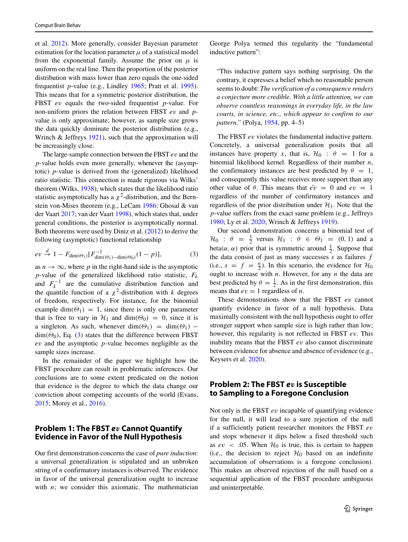et al. [2012\)](#page-6-9). More generally, consider Bayesian parameter estimation for the location parameter  $\mu$  of a statistical model from the exponential family. Assume the prior on  $\mu$  is uniform on the real line. Then the proportion of the posterior distribution with mass lower than zero equals the one-sided frequentist *p*-value (e.g., Lindley [1965;](#page-7-9) Pratt et al. [1995\)](#page-7-10). This means that for a symmetric posterior distribution, the FBST *ev* equals the two-sided frequentist *p*-value. For non-uniform priors the relation between FBST *ev* and *p*value is only approximate; however, as sample size grows the data quickly dominate the posterior distribution (e.g., Wrinch & Jeffreys [1921\)](#page-7-11), such that the approximation will be increasingly close.

The large-sample connection between the FBST *ev* and the *p*-value holds even more generally, whenever the (asymptotic) *p*-value is derived from the (generalized) likelihood ratio statistic. This connection is made rigorous via Wilks' theorem (Wilks, [1938\)](#page-7-12), which states that the likelihood ratio statistic asymptotically has a  $\chi^2$ -distribution, and the Bernstein von-Mises theorem (e.g., LeCam [1986;](#page-7-13) Ghosal & van der Vaart [2017;](#page-6-11) van der Vaart [1998\)](#page-7-14), which states that, under general conditions, the posterior is asymptotically normal. Both theorems were used by Diniz et al. [\(2012\)](#page-6-9) to derive the following (asymptotic) functional relationship

$$
ev \stackrel{d}{\rightarrow} 1 - F_{\dim(\Theta_1)}[F_{\dim(\Theta_1) - \dim(\Theta_0)}^{-1}(1-p)],\tag{3}
$$

as  $n \to \infty$ , where p in the right-hand side is the asymptotic *p*-value of the generalized likelihood ratio statistic, *Fk* and  $F_k^{-1}$  are the cumulative distribution function and the quantile function of a  $\chi^2$ -distribution with *k* degrees of freedom, respectively. For instance, for the binomial example dim $(\Theta_1) = 1$ , since there is only one parameter that is free to vary in  $\mathcal{H}_1$  and dim $(\Theta_0) = 0$ , since it is a singleton. As such, whenever dim $(\Theta_1)$  = dim $(\Theta_1)$  –  $\dim(\Theta_0)$ , Eq. [\(3\)](#page-2-0) states that the difference between FBST *ev* and the asymptotic *p*-value becomes negligible as the sample sizes increase.

In the remainder of the paper we highlight how the FBST procedure can result in problematic inferences. Our conclusions are to some extent predicated on the notion that evidence is the degree to which the data change our conviction about competing accounts of the world (Evans, [2015;](#page-6-3) Morey et al., [2016\)](#page-7-15).

# **Problem 1: The FBST** *ev* **Cannot Quantify Evidence in Favor of the Null Hypothesis**

Our first demonstration concerns the case of *pure induction*: a universal generalization is stipulated and an unbroken string of *n* confirmatory instances is observed. The evidence in favor of the universal generalization ought to increase with *n*; we consider this axiomatic. The mathematician George Polya termed this regularity the "fundamental inductive pattern":

"This inductive pattern says nothing surprising. On the contrary, it expresses a belief which no reasonable person seems to doubt: *The verification of a consequence renders a conjecture more credible. With a little attention, we can observe countless reasonings in everyday life, in the law courts, in science, etc., which appear to confirm to our pattern."* (Polya, [1954,](#page-7-16) pp. 4–5)

The FBST *ev* violates the fundamental inductive pattern. Concretely, a universal generalization posits that all instances have property *x*, that is,  $\mathcal{H}_0$  :  $\theta = 1$  for a binomial likelihood kernel. Regardless of their number *n*, the confirmatory instances are best predicted by  $\theta = 1$ , and consequently this value receives more support than any other value of  $\theta$ . This means that  $\overline{ev} = 0$  and  $ev = 1$ regardless of the number of confirmatory instances and regardless of the prior distribution under  $\mathcal{H}_1$ . Note that the *p*-value suffers from the exact same problem (e.g., Jeffreys [1980;](#page-6-12) Ly et al. [2020;](#page-7-17) Wrinch & Jeffreys [1919\)](#page-7-18).

<span id="page-2-0"></span>Our second demonstration concerns a binomial test of  $\mathcal{H}_0$  :  $\theta = \frac{1}{2}$  versus  $\mathcal{H}_1$  :  $\theta \in \Theta_1 = (0, 1)$  and a beta( $\alpha$ ,  $\alpha$ ) prior that is symmetric around  $\frac{1}{2}$ . Suppose that the data consist of just as many successes *s* as failures *f* (i.e.,  $s = f = \frac{n}{2}$ ). In this scenario, the evidence for  $\mathcal{H}_0$ ought to increase with *n*. However, for any *n* the data are best predicted by  $\theta = \frac{1}{2}$ . As in the first demonstration, this means that  $ev = 1$  regardless of *n*.

These demonstrations show that the FBST *ev* cannot quantify evidence in favor of a null hypothesis. Data maximally consistent with the null hypothesis ought to offer stronger support when sample size is high rather than low; however, this regularity is not reflected in FBST *ev*. This inability means that the FBST *ev* also cannot discriminate between evidence for absence and absence of evidence (e.g., Keysers et al. [2020\)](#page-7-19).

# **Problem 2: The FBST** *ev* **is Susceptible to Sampling to a Foregone Conclusion**

Not only is the FBST *ev* incapable of quantifying evidence for the null, it will lead to a sure rejection of the null if a sufficiently patient researcher monitors the FBST *ev* and stops whenever it dips below a fixed threshold such as  $ev < .05$ . When  $\mathcal{H}_0$  is true, this is certain to happen (i.e., the decision to reject  $\mathcal{H}_0$  based on an indefinite accumulation of observations is a foregone conclusion). This makes an observed rejection of the null based on a sequential application of the FBST procedure ambiguous and uninterpretable.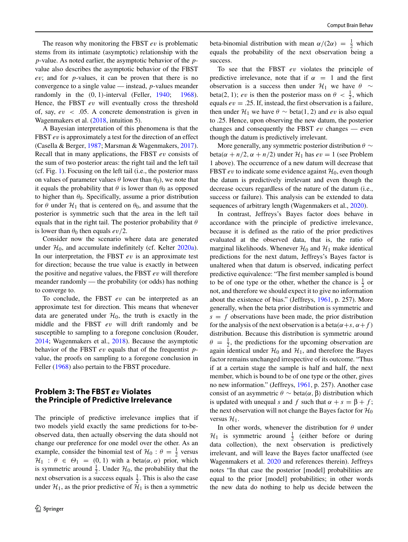The reason why monitoring the FBST *ev* is problematic stems from its intimate (asymptotic) relationship with the *p*-value. As noted earlier, the asymptotic behavior of the *p*value also describes the asymptotic behavior of the FBST *ev*; and for *p*-values, it can be proven that there is no convergence to a single value — instead, *p*-values meander randomly in the *(*0*,* 1*)*-interval (Feller, [1940;](#page-6-13) [1968\)](#page-6-14). Hence, the FBST *ev* will eventually cross the threshold of, say, *ev <* .05. A concrete demonstration is given in Wagenmakers et al. [\(2018,](#page-7-20) intuition 5).

A Bayesian interpretation of this phenomena is that the FBST *ev* is approximately a test for the direction of an effect (Casella & Berger, [1987;](#page-6-15) Marsman & Wagenmakers, [2017\)](#page-7-21). Recall that in many applications, the FBST *ev* consists of the sum of two posterior areas: the right tail and the left tail (cf. Fig. [1\)](#page-1-0). Focusing on the left tail (i.e., the posterior mass on values of parameter values  $\theta$  lower than  $\theta_0$ ), we note that it equals the probability that  $\theta$  is lower than  $\theta_0$  as opposed to higher than  $\theta_0$ . Specifically, assume a prior distribution for  $\theta$  under  $\mathcal{H}_1$  that is centered on  $\theta_0$ , and assume that the posterior is symmetric such that the area in the left tail equals that in the right tail. The posterior probability that *θ* is lower than  $\theta_0$  then equals  $ev/2$ .

Consider now the scenario where data are generated under  $H_0$ , and accumulate indefinitely (cf. Kelter  $2020a$ ). In our interpretation, the FBST *ev* is an approximate test for direction; because the true value is exactly in between the positive and negative values, the FBST *ev* will therefore meander randomly — the probability (or odds) has nothing to converge to.

To conclude, the FBST *ev* can be interpreted as an approximate test for direction. This means that whenever data are generated under  $H_0$ , the truth is exactly in the middle and the FBST *ev* will drift randomly and be susceptible to sampling to a foregone conclusion (Rouder, [2014;](#page-7-23) Wagenmakers et al., [2018\)](#page-7-20). Because the asymptotic behavior of the FBST *ev* equals that of the frequentist *p*value, the proofs on sampling to a foregone conclusion in Feller [\(1968\)](#page-6-14) also pertain to the FBST procedure.

# **Problem 3: The FBST** *ev* **Violates the Principle of Predictive Irrelevance**

The principle of predictive irrelevance implies that if two models yield exactly the same predictions for to-beobserved data, then actually observing the data should not change our preference for one model over the other. As an example, consider the binomial test of  $\mathcal{H}_0$  :  $\theta = \frac{1}{2}$  versus  $\mathcal{H}_1$  :  $\theta \in \Theta_1 = (0, 1)$  with a beta $(\alpha, \alpha)$  prior, which is symmetric around  $\frac{1}{2}$ . Under  $\mathcal{H}_0$ , the probability that the next observation is a success equals  $\frac{1}{2}$ . This is also the case under  $\mathcal{H}_1$ , as the prior predictive of  $\mathcal{H}_1$  is then a symmetric

beta-binomial distribution with mean  $\alpha/(2\alpha) = \frac{1}{2}$  which equals the probability of the next observation being a success.

To see that the FBST *ev* violates the principle of predictive irrelevance, note that if  $\alpha = 1$  and the first observation is a success then under  $\mathcal{H}_1$  we have  $\theta \sim$ beta(2, 1); *ev* is then the posterior mass on  $\theta < \frac{1}{2}$ , which equals  $ev = .25$ . If, instead, the first observation is a failure, then under  $\mathcal{H}_1$  we have  $\theta \sim \text{beta}(1, 2)$  and *ev* is also equal to .25. Hence, upon observing the new datum, the posterior changes and consequently the FBST *ev* changes — even though the datum is predictively irrelevant.

More generally, any symmetric posterior distribution *θ* ∼  $beta(\alpha + n/2, \alpha + n/2)$  under  $\mathcal{H}_1$  has  $ev = 1$  (see Problem 1 above). The occurrence of a new datum will decrease that FBST  $ev$  to indicate some evidence against  $\mathcal{H}_0$ , even though the datum is predictively irrelevant and even though the decrease occurs regardless of the nature of the datum (i.e., success or failure). This analysis can be extended to data sequences of arbitrary length (Wagenmakers et al., [2020\)](#page-7-24).

In contrast, Jeffreys's Bayes factor does behave in accordance with the principle of predictive irrelevance, because it is defined as the ratio of the prior predictives evaluated at the observed data, that is, the ratio of marginal likelihoods. Whenever  $\mathcal{H}_0$  and  $\mathcal{H}_1$  make identical predictions for the next datum, Jeffreys's Bayes factor is unaltered when that datum is observed, indicating perfect predictive equivalence: "The first member sampled is bound to be of one type or the other, whether the chance is  $\frac{1}{2}$  or not, and therefore we should expect it to give no information about the existence of bias." (Jeffreys, [1961,](#page-6-8) p. 257). More generally, when the beta prior distribution is symmetric and  $s = f$  observations have been made, the prior distribution for the analysis of the next observation is a beta $(\alpha + s, \alpha + f)$ distribution. Because this distribution is symmetric around  $\theta = \frac{1}{2}$ , the predictions for the upcoming observation are again identical under  $H_0$  and  $H_1$ , and therefore the Bayes factor remains unchanged irrespective of its outcome. "Thus if at a certain stage the sample is half and half, the next member, which is bound to be of one type or the other, gives no new information." (Jeffreys, [1961,](#page-6-8) p. 257). Another case consist of an asymmetric *θ* ∼ beta*(α,* β*)* distribution which is updated with unequal *s* and *f* such that  $α + s = β + f$ ; the next observation will not change the Bayes factor for  $\mathcal{H}_0$ versus  $\mathcal{H}_1$ .

In other words, whenever the distribution for *θ* under  $\mathcal{H}_1$  is symmetric around  $\frac{1}{2}$  (either before or during data collection), the next observation is predictively irrelevant, and will leave the Bayes factor unaffected (see Wagenmakers et al. [2020](#page-7-24) and references therein). Jeffreys notes "In that case the posterior [model] probabilities are equal to the prior [model] probabilities; in other words the new data do nothing to help us decide between the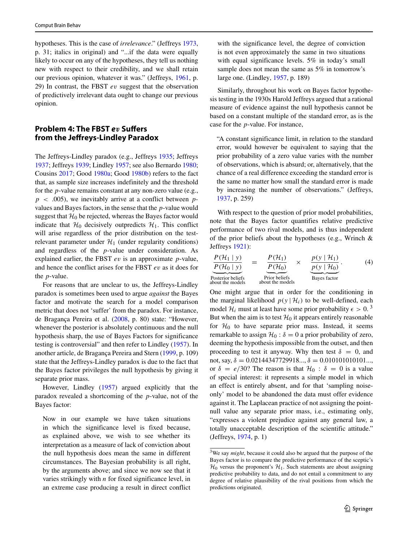hypotheses. This is the case of *irrelevance*." (Jeffreys [1973,](#page-6-16) p. 31; italics in original) and "...if the data were equally likely to occur on any of the hypotheses, they tell us nothing new with respect to their credibility, and we shall retain our previous opinion, whatever it was." (Jeffreys, [1961,](#page-6-8) p. 29) In contrast, the FBST *ev* suggest that the observation of predictively irrelevant data ought to change our previous opinion.

## **Problem 4: The FBST** *ev* **Suffers from the Jeffreys-Lindley Paradox**

The Jeffreys-Lindley paradox (e.g., Jeffreys [1935;](#page-6-17) Jeffreys [1937;](#page-6-18) Jeffreys [1939;](#page-6-19) Lindley [1957;](#page-7-25) see also Bernardo [1980;](#page-6-20) Cousins [2017;](#page-6-21) Good [1980a;](#page-6-22) Good [1980b\)](#page-6-23) refers to the fact that, as sample size increases indefinitely and the threshold for the *p*-value remains constant at any non-zero value (e.g., *p <* .005), we inevitably arrive at a conflict between *p*values and Bayes factors, in the sense that the *p*-value would suggest that  $\mathcal{H}_0$  be rejected, whereas the Bayes factor would indicate that  $\mathcal{H}_0$  decisively outpredicts  $\mathcal{H}_1$ . This conflict will arise regardless of the prior distribution on the testrelevant parameter under  $\mathcal{H}_1$  (under regularity conditions) and regardless of the *p*-value under consideration. As explained earlier, the FBST *ev* is an approximate *p*-value, and hence the conflict arises for the FBST *ev* as it does for the *p*-value.

For reasons that are unclear to us, the Jeffreys-Lindley paradox is sometimes been used to argue *against* the Bayes factor and motivate the search for a model comparison metric that does not 'suffer' from the paradox. For instance, de Bragança Pereira et al. [\(2008,](#page-6-1) p. 80) state: "However, whenever the posterior is absolutely continuous and the null hypothesis sharp, the use of Bayes Factors for significance testing is controversial" and then refer to Lindley [\(1957\)](#page-7-25). In another article, de Bragança Pereira and Stern [\(1999,](#page-6-0) p. 109) state that the Jeffreys-Lindley paradox is due to the fact that the Bayes factor privileges the null hypothesis by giving it separate prior mass.

However, Lindley [\(1957\)](#page-7-25) argued explicitly that the paradox revealed a shortcoming of the *p*-value, not of the Bayes factor:

Now in our example we have taken situations in which the significance level is fixed because, as explained above, we wish to see whether its interpretation as a measure of lack of conviction about the null hypothesis does mean the same in different circumstances. The Bayesian probability is all right, by the arguments above; and since we now see that it varies strikingly with *n* for fixed significance level, in an extreme case producing a result in direct conflict with the significance level, the degree of conviction is not even approximately the same in two situations with equal significance levels. 5% in today's small sample does not mean the same as 5% in tomorrow's large one. (Lindley, [1957,](#page-7-25) p. 189)

Similarly, throughout his work on Bayes factor hypothesis testing in the 1930s Harold Jeffreys argued that a rational measure of evidence against the null hypothesis cannot be based on a constant multiple of the standard error, as is the case for the *p*-value. For instance,

"A constant significance limit, in relation to the standard error, would however be equivalent to saying that the prior probability of a zero value varies with the number of observations, which is absurd; or, alternatively, that the chance of a real difference exceeding the standard error is the same no matter how small the standard error is made by increasing the number of observations." (Jeffreys, [1937,](#page-6-18) p. 259)

With respect to the question of prior model probabilities, note that the Bayes factor quantifies relative predictive performance of two rival models, and is thus independent of the prior beliefs about the hypotheses (e.g., Wrinch & Jeffreys [1921\)](#page-7-11):

$$
\frac{P(\mathcal{H}_1 | y)}{P(\mathcal{H}_0 | y)} = \frac{P(\mathcal{H}_1)}{P(\mathcal{H}_0)} \times \frac{p(y | \mathcal{H}_1)}{p(y | \mathcal{H}_0)}.
$$
\n(4)  
\nPosterior beliefs  
\nabout the models  
\nabout the models

One might argue that in order for the conditioning in the marginal likelihood  $p(y | H_i)$  to be well-defined, each model  $\mathcal{H}_i$  must at least have some prior probability  $\epsilon > 0$ .<sup>[3](#page-4-0)</sup> But when the aim is to test  $\mathcal{H}_0$  it appears entirely reasonable for  $H_0$  to have separate prior mass. Instead, it seems remarkable to assign  $\mathcal{H}_0$  :  $\delta = 0$  a prior probability of zero, deeming the hypothesis impossible from the outset, and then proceeding to test it anyway. Why then test  $\delta = 0$ , and not, say,  $\delta = 0.02144347729918...$ ,  $\delta = 0.010101010101...$ , or  $\delta = e/30$ ? The reason is that  $\mathcal{H}_0$  :  $\delta = 0$  is a value of special interest: it represents a simple model in which an effect is entirely absent, and for that 'sampling noiseonly' model to be abandoned the data must offer evidence against it. The Laplacean practice of not assigning the pointnull value any separate prior mass, i.e., estimating only, "expresses a violent prejudice against any general law, a totally unacceptable description of the scientific attitude." (Jeffreys, [1974,](#page-6-24) p. 1)

<span id="page-4-0"></span><sup>3</sup>We say *might*, because it could also be argued that the purpose of the Bayes factor is to compare the predictive performance of the sceptic's  $\mathcal{H}_0$  versus the proponent's  $\mathcal{H}_1$ . Such statements are about assigning predictive probability to data, and do not entail a commitment to any degree of relative plausibility of the rival positions from which the predictions originated.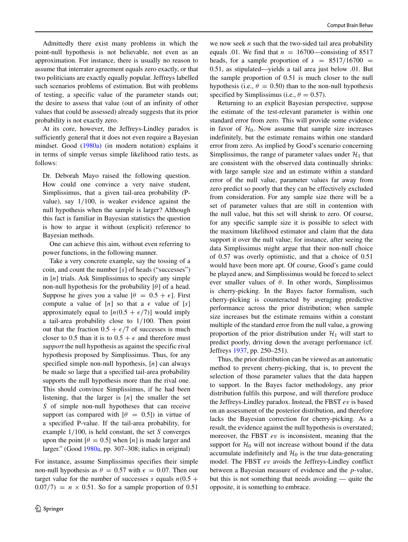Admittedly there exist many problems in which the point-null hypothesis is not believable, not even as an approximation. For instance, there is usually no reason to assume that interrater agreement equals zero exactly, or that two politicians are exactly equally popular. Jeffreys labelled such scenarios problems of estimation. But with problems of testing, a specific value of the parameter stands out; the desire to assess that value (out of an infinity of other values that could be assessed) already suggests that its prior probability is not exactly zero.

At its core, however, the Jeffreys-Lindley paradox is sufficiently general that it does not even require a Bayesian mindset. Good [\(1980a\)](#page-6-22) (in modern notation) explains it in terms of simple versus simple likelihood ratio tests, as follows:

Dr. Deborah Mayo raised the following question. How could one convince a very naive student, Simplissimus, that a given tail-area probability (Pvalue), say 1*/*100, is weaker evidence against the null hypothesis when the sample is larger? Although this fact is familiar in Bayesian statistics the question is how to argue it without (explicit) reference to Bayesian methods.

One can achieve this aim, without even referring to power functions, in the following manner.

Take a very concrete example, say the tossing of a coin, and count the number [*s*] of heads ("successes") in [*n*] trials. Ask Simplissimus to specify any simple non-null hypothesis for the probability [*θ*] of a head. Suppose he gives you a value  $\theta = 0.5 + \epsilon$ . First compute a value of  $[n]$  so that a  $\epsilon$  value of  $[s]$ approximately equal to  $[n(0.5 + \epsilon/7)]$  would imply a tail-area probability close to 1*/*100. Then point out that the fraction  $0.5 + \epsilon/7$  of successes is much closer to 0.5 than it is to  $0.5 + \epsilon$  and therefore must *support* the null hypothesis as against the specific rival hypothesis proposed by Simplissimus. Thus, for any specified simple non-null hypothesis, [*n*] can always be made so large that a specified tail-area probability supports the null hypothesis more than the rival one. This should convince Simplissimus, if he had been listening, that the larger is  $[n]$  the smaller the set *S* of simple non-null hypotheses that can receive support (as compared with  $[\theta = 0.5]$ ) in virtue of a specified P-value. If the tail-area probability, for example 1*/*100, is held constant, the set *S* converges upon the point  $\theta = 0.5$ ] when [*n*] is made larger and larger." (Good [1980a,](#page-6-22) pp. 307–308; italics in original)

For instance, assume Simplissimus specifies their simple non-null hypothesis as  $\theta = 0.57$  with  $\epsilon = 0.07$ . Then our target value for the number of successes  $s$  equals  $n(0.5 +$  $0.07/7$ *)* = *n* × 0.51. So for a sample proportion of 0.51

we now seek *n* such that the two-sided tail area probability equals .01. We find that  $n = 16700$ —consisting of 8517 heads, for a sample proportion of  $s = 8517/16700$  = 0.51, as stipulated—yields a tail area just below .01. But the sample proportion of 0.51 is much closer to the null hypothesis (i.e.,  $\theta = 0.50$ ) than to the non-null hypothesis specified by Simplissimus (i.e.,  $\theta = 0.57$ ).

Returning to an explicit Bayesian perspective, suppose the estimate of the test-relevant parameter is within one standard error from zero. This will provide some evidence in favor of  $H<sub>0</sub>$ . Now assume that sample size increases indefinitely, but the estimate remains within one standard error from zero. As implied by Good's scenario concerning Simplissimus, the range of parameter values under  $\mathcal{H}_1$  that are consistent with the observed data continually shrinks: with large sample size and an estimate within a standard error of the null value, parameter values far away from zero predict so poorly that they can be effectively excluded from consideration. For any sample size there will be a set of parameter values that are still in contention with the null value, but this set will shrink to zero. Of course, for any specific sample size it is possible to select with the maximum likelihood estimator and claim that the data support it over the null value; for instance, after seeing the data Simplissimus might argue that their non-null choice of 0.57 was overly optimistic, and that a choice of 0.51 would have been more apt. Of course, Good's game could be played anew, and Simplissimus would be forced to select ever smaller values of *θ*. In other words, Simplissimus is cherry-picking. In the Bayes factor formalism, such cherry-picking is counteracted by averaging predictive performance across the prior distribution; when sample size increases but the estimate remains within a constant multiple of the standard error from the null value, a growing proportion of the prior distribution under  $\mathcal{H}_1$  will start to predict poorly, driving down the average performance (cf. Jeffreys [1937,](#page-6-18) pp. 250–251).

Thus, the prior distribution can be viewed as an automatic method to prevent cherry-picking, that is, to prevent the selection of those parameter values that the data happen to support. In the Bayes factor methodology, any prior distribution fulfils this purpose, and will therefore produce the Jeffreys-Lindley paradox. Instead, the FBST *ev* is based on an assessment of the posterior distribution, and therefore lacks the Bayesian correction for cherry-picking. As a result, the evidence against the null hypothesis is overstated; moreover, the FBST *ev* is inconsistent, meaning that the support for  $H_0$  will not increase without bound if the data accumulate indefinitely and  $H_0$  is the true data-generating model. The FBST *ev* avoids the Jeffreys-Lindley conflict between a Bayesian measure of evidence and the *p*-value, but this is not something that needs avoiding — quite the opposite, it is something to embrace.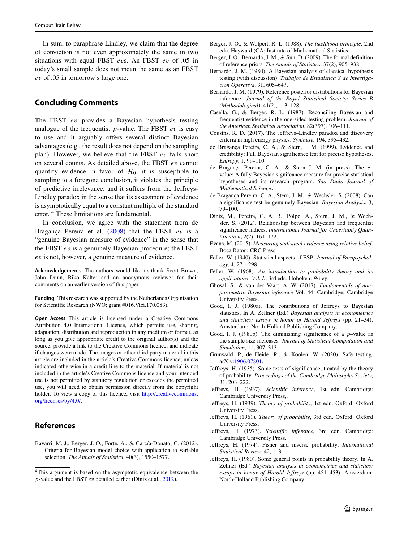In sum, to paraphrase Lindley, we claim that the degree of conviction is not even approximately the same in two situations with equal FBST *ev*s. An FBST *ev* of .05 in today's small sample does not mean the same as an FBST *ev* of .05 in tomorrow's large one.

## **Concluding Comments**

The FBST *ev* provides a Bayesian hypothesis testing analogue of the frequentist *p*-value. The FBST *ev* is easy to use and it arguably offers several distinct Bayesian advantages (e.g., the result does not depend on the sampling plan). However, we believe that the FBST *ev* falls short on several counts. As detailed above, the FBST *ev* cannot quantify evidence in favor of  $\mathcal{H}_0$ , it is susceptible to sampling to a foregone conclusion, it violates the principle of predictive irrelevance, and it suffers from the Jeffreys-Lindley paradox in the sense that its assessment of evidence is asymptotically equal to a constant multiple of the standard error. [4](#page-6-25) These limitations are fundamental.

In conclusion, we agree with the statement from de Bragança Pereira et al. [\(2008\)](#page-6-1) that the FBST *ev* is a "genuine Bayesian measure of evidence" in the sense that the FBST *ev* is a genuinely Bayesian procedure; the FBST *ev* is not, however, a genuine measure of evidence.

**Acknowledgements** The authors would like to thank Scott Brown, John Dunn, Riko Kelter and an anonymous reviewer for their comments on an earlier version of this paper.

**Funding** This research was supported by the Netherlands Organisation for Scientific Research (NWO; grant #016.Vici.170.083).

**Open Access** This article is licensed under a Creative Commons Attribution 4.0 International License, which permits use, sharing, adaptation, distribution and reproduction in any medium or format, as long as you give appropriate credit to the original author(s) and the source, provide a link to the Creative Commons licence, and indicate if changes were made. The images or other third party material in this article are included in the article's Creative Commons licence, unless indicated otherwise in a credit line to the material. If material is not included in the article's Creative Commons licence and your intended use is not permitted by statutory regulation or exceeds the permitted use, you will need to obtain permission directly from the copyright holder. To view a copy of this licence, visit [http://creativecommons.](http://creativecommons.org/licenses/by/4.0/) [org/licenses/by/4.0/.](http://creativecommons.org/licenses/by/4.0/)

#### **References**

<span id="page-6-7"></span>Bayarri, M. J., Berger, J. O., Forte, A., & García-Donato, G. (2012). Criteria for Bayesian model choice with application to variable selection. *The Annals of Statistics*, 40(3), 1550–1577.

- <span id="page-6-10"></span>Berger, J. O., & Wolpert, R. L. (1988). *The likelihood principle*, 2nd edn. Hayward (CA: Institute of Mathematical Statistics.
- <span id="page-6-5"></span>Berger, J. O., Bernardo, J. M., & Sun, D. (2009). The formal definition of reference priors. *The Annals of Statistics*, 37(2), 905–938.
- <span id="page-6-20"></span>Bernardo, J. M. (1980). A Bayesian analysis of classical hypothesis testing (with discussion). *Trabajos de Estadistica Y de Investigacion Operativa*, 31, 605–647.
- <span id="page-6-6"></span>Bernardo, J. M. (1979). Reference posterior distributions for Bayesian inference. *Journal of the Royal Statistical Society: Series B (Methodological)*, 41(2), 113–128.
- <span id="page-6-15"></span>Casella, G., & Berger, R. L. (1987). Reconciling Bayesian and frequentist evidence in the one-sided testing problem. *Journal of the American Statistical Association*, 82(397), 106–111.
- <span id="page-6-21"></span>Cousins, R. D. (2017). The Jeffreys–Lindley paradox and discovery criteria in high energy physics. *Synthese*, 194, 395–432.
- <span id="page-6-0"></span>de Bragança Pereira, C. A., & Stern, J. M. (1999). Evidence and credibility: Full Bayesian significance test for precise hypotheses. *Entropy*, 1, 99–110.
- <span id="page-6-2"></span>de Bragança Pereira, C. A., & Stern J. M. (in press). The *e*value: A fully Bayesian signifcance measure for precise statistical hypotheses and its research program. São Paulo Journal of *Mathematical Sciences*.
- <span id="page-6-1"></span>de Bragança Pereira, C. A., Stern, J. M., & Wechsler, S. (2008). Can a significance test be genuinely Bayesian. *Bayesian Analysis*, 3, 79–100.
- <span id="page-6-9"></span>Diniz, M., Pereira, C. A. B., Polpo, A., Stern, J. M., & Wechsler, S. (2012). Relationship between Bayesian and frequentist significance indices. *International Journal for Uncertainty Quantification*, 2(2), 161–172.
- <span id="page-6-3"></span>Evans, M. (2015). *Measuring statistical evidence using relative belief*. Boca Raton: CRC Press.
- <span id="page-6-13"></span>Feller, W. (1940). Statistical aspects of ESP. *Journal of Parapsychology*, 4, 271–298.
- <span id="page-6-14"></span>Feller, W. (1968). *An introduction to probability theory and its applications: Vol. I.*, 3rd edn. Hoboken: Wiley.
- <span id="page-6-11"></span>Ghosal, S., & van der Vaart, A. W. (2017). *Fundamentals of nonparametric Bayesian inference* Vol. 44. Cambridge: Cambridge University Press.
- <span id="page-6-22"></span>Good, I. J. (1980a). The contributions of Jeffreys to Bayesian statistics. In A. Zellner (Ed.) *Bayesian analysis in econometrics and statistics: essays in honor of Harold Jeffreys* (pp. 21–34). Amsterdam: North-Holland Publishing Company.
- <span id="page-6-23"></span>Good, I. J. (1980b). The diminishing significance of a *p*–value as the sample size increases. *Journal of Statistical Computation and Simulation*, 11, 307–313.
- <span id="page-6-4"></span>Grünwald, P., de Heide, R., & Koolen, W. (2020). Safe testing. arXiv[:1906.07801.](http://arxiv.org/abs/1906.07801)
- <span id="page-6-17"></span>Jeffreys, H. (1935). Some tests of significance, treated by the theory of probability. *Proceedings of the Cambridge Philosophy Society*, 31, 203–222.
- <span id="page-6-18"></span>Jeffreys, H. (1937). *Scientific inference*, 1st edn. Cambridge: Cambridge University Press,.
- <span id="page-6-19"></span>Jeffreys, H. (1939). *Theory of probability*, 1st edn. Oxford: Oxford University Press.
- <span id="page-6-8"></span>Jeffreys, H. (1961). *Theory of probability*, 3rd edn. Oxford: Oxford University Press.
- <span id="page-6-16"></span>Jeffreys, H. (1973). *Scientific inference*, 3rd edn. Cambridge: Cambridge University Press.
- <span id="page-6-24"></span>Jeffreys, H. (1974). Fisher and inverse probability. *International Statistical Review*, 42, 1–3.
- <span id="page-6-12"></span>Jeffreys, H. (1980). Some general points in probability theory. In A. Zellner (Ed.) *Bayesian analysis in econometrics and statistics: essays in honor of Harold Jeffreys* (pp. 451–453). Amsterdam: North-Holland Publishing Company.

<span id="page-6-25"></span><sup>4</sup>This argument is based on the asymptotic equivalence between the *p*-value and the FBST *ev* detailed earlier (Diniz et al., [2012\)](#page-6-9).